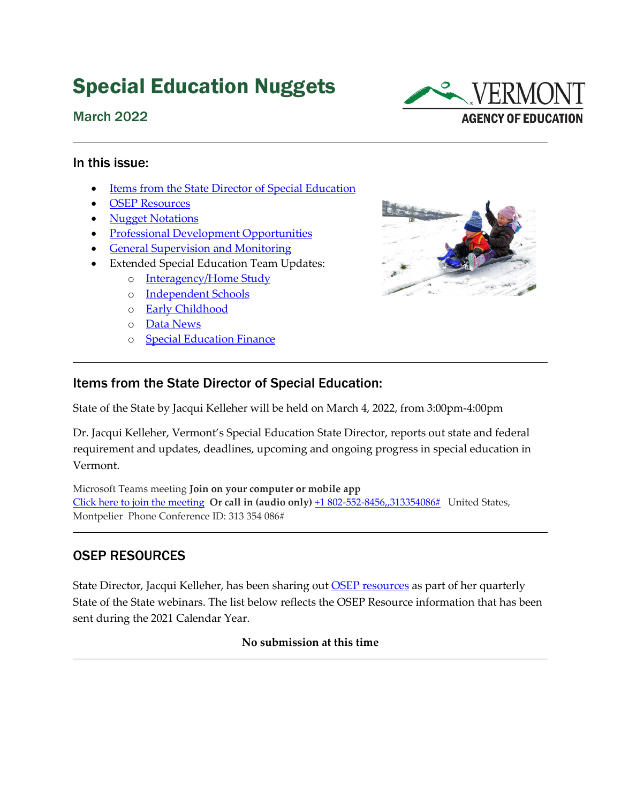# Special Education Nuggets





#### In this issue:

- [Items from the State Director of Special Education](#page-0-0)
- [OSEP Resources](#page-0-1)
- [Nugget Notations](#page-0-2)
- [Professional Development Opportunities](#page-2-0)
- [General Supervision and Monitoring](#page-3-0)
- Extended Special Education Team Updates:
	- o [Interagency/Home Study](#page-4-0)
	- o [Independent Schools](#page-5-0)
	- o [Early Childhood](#page-6-0)
	- o [Data News](#page-7-0)
	- o [Special Education Finance](#page-7-1)



### <span id="page-0-0"></span>Items from the State Director of Special Education:

State of the State by Jacqui Kelleher will be held on March 4, 2022, from 3:00pm-4:00pm

Dr. Jacqui Kelleher, Vermont's Special Education State Director, reports out state and federal requirement and updates, deadlines, upcoming and ongoing progress in special education in Vermont.

Microsoft Teams meeting **Join on your computer or mobile app**  [Click here to join the meeting](https://teams.microsoft.com/l/meetup-join/19%3ameeting_M2M4YTk5ZDctMTkzOS00ODY5LWI3ODctZTcyNjE5Nzk4M2Jm%40thread.v2/0?context=%7b%22Tid%22%3a%2220b4933b-baad-433c-9c02-70edcc7559c6%22%2c%22Oid%22%3a%22d4ffb8ba-1e02-4068-b76e-0a69287a7b52%22%7d) **Or call in (audio only)** [+1 802-552-8456,,313354086#](tel:+18025528456,,313354086#%20) United States, Montpelier Phone Conference ID: 313 354 086#

### <span id="page-0-1"></span>OSEP RESOURCES

<span id="page-0-2"></span>State Director, Jacqui Kelleher, has been sharing out **OSEP** resources as part of her quarterly State of the State webinars. The list below reflects the OSEP Resource information that has been sent during the 2021 Calendar Year.

**No submission at this time**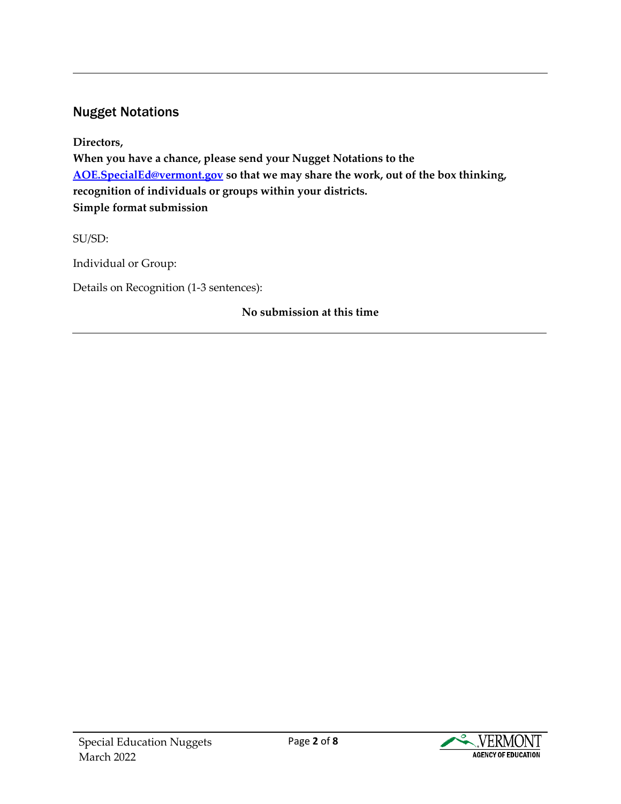# Nugget Notations

**Directors, When you have a chance, please send your Nugget Notations to the [AOE.SpecialEd@vermont.gov](mailto:AOE.SpecialEd@vermont.gov) so that we may share the work, out of the box thinking, recognition of individuals or groups within your districts. Simple format submission**

SU/SD:

Individual or Group:

Details on Recognition (1-3 sentences):

### **No submission at this time**

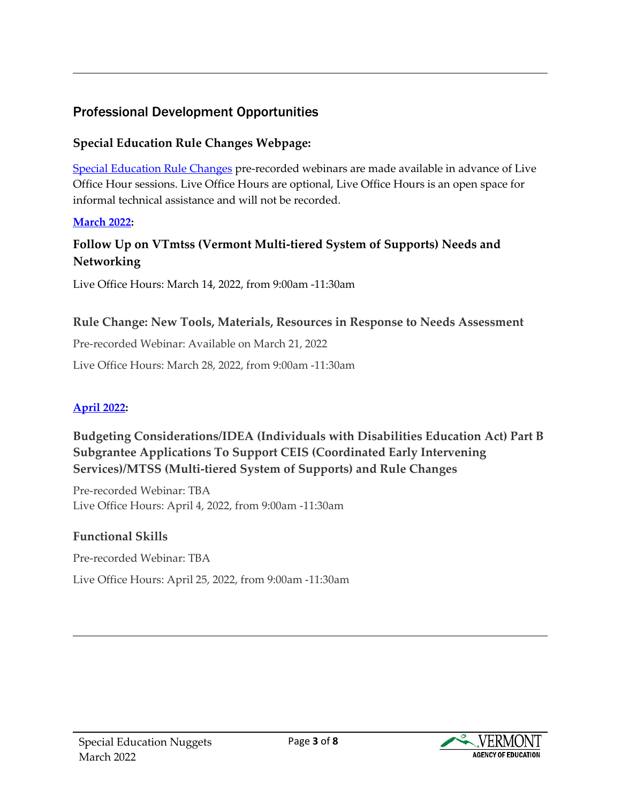# <span id="page-2-0"></span>Professional Development Opportunities

### **Special Education Rule Changes Webpage:**

[Special Education Rule Changes](https://education.vermont.gov/student-support/vermont-special-education/rule-changes) pre-recorded webinars are made available in advance of Live Office Hour sessions. Live Office Hours are optional, Live Office Hours is an open space for informal technical assistance and will not be recorded.

### **[March 2022:](https://education.vermont.gov/student-support/vermont-special-education/rule-changes#march-2022)**

# **Follow Up on VTmtss (Vermont Multi-tiered System of Supports) Needs and Networking**

Live Office Hours: March 14, 2022, from 9:00am -11:30am

### **Rule Change: New Tools, Materials, Resources in Response to Needs Assessment**

Pre-recorded Webinar: Available on March 21, 2022 Live Office Hours: March 28, 2022, from 9:00am -11:30am

### **[April 2022:](https://education.vermont.gov/student-support/vermont-special-education/rule-changes#april-2022)**

### **Budgeting Considerations/IDEA (Individuals with Disabilities Education Act) Part B Subgrantee Applications To Support CEIS (Coordinated Early Intervening Services)/MTSS (Multi-tiered System of Supports) and Rule Changes**

Pre-recorded Webinar: TBA Live Office Hours: April 4, 2022, from 9:00am -11:30am

### **Functional Skills**

Pre-recorded Webinar: TBA Live Office Hours: April 25, 2022, from 9:00am -11:30am

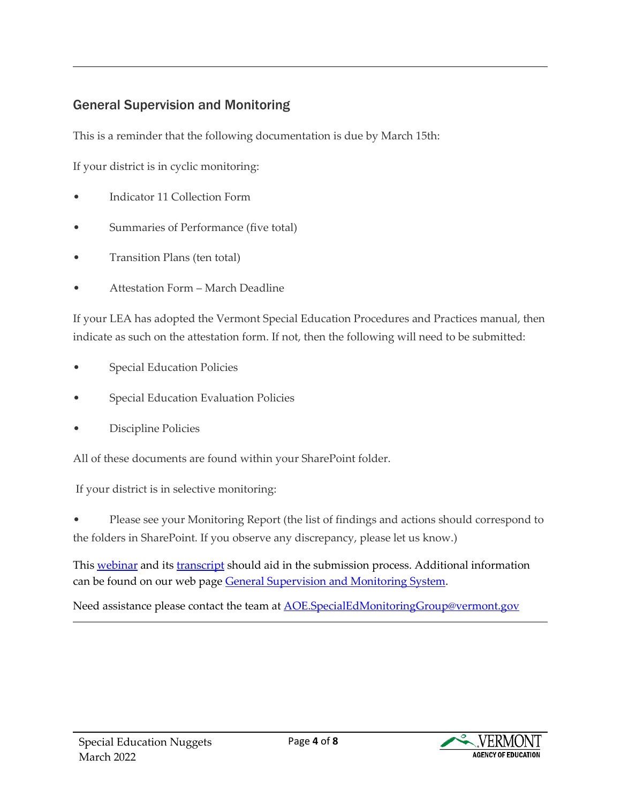# <span id="page-3-0"></span>General Supervision and Monitoring

This is a reminder that the following documentation is due by March 15th:

If your district is in cyclic monitoring:

- Indicator 11 Collection Form
- Summaries of Performance (five total)
- Transition Plans (ten total)
- Attestation Form March Deadline

If your LEA has adopted the Vermont Special Education Procedures and Practices manual, then indicate as such on the attestation form. If not, then the following will need to be submitted:

- Special Education Policies
- Special Education Evaluation Policies
- Discipline Policies

All of these documents are found within your SharePoint folder.

If your district is in selective monitoring:

• Please see your Monitoring Report (the list of findings and actions should correspond to the folders in SharePoint. If you observe any discrepancy, please let us know.)

This [webinar](https://www.youtube.com/watch?v=8VCuR9DagfE) and its [transcript](https://education.vermont.gov/documents/edu-cyclic-and-selective-monitoring-webinar-transcript) should aid in the submission process. Additional information can be found on our web page [General Supervision and Monitoring System.](https://education.vermont.gov/student-support/vermont-special-education/general-supervision-and-monitoring-system)

Need assistance please contact the team at **AOE.SpecialEdMonitoringGroup@vermont.gov** 

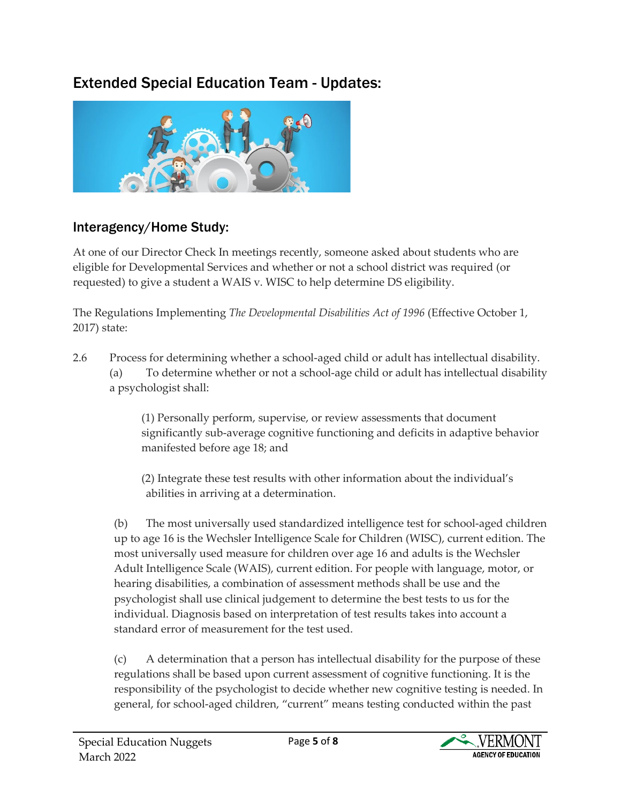# Extended Special Education Team - Updates:



# <span id="page-4-0"></span>Interagency/Home Study:

At one of our Director Check In meetings recently, someone asked about students who are eligible for Developmental Services and whether or not a school district was required (or requested) to give a student a WAIS v. WISC to help determine DS eligibility.

The Regulations Implementing *The Developmental Disabilities Act of 1996* (Effective October 1, 2017) state:

2.6 Process for determining whether a school-aged child or adult has intellectual disability. (a) To determine whether or not a school-age child or adult has intellectual disability a psychologist shall:

> (1) Personally perform, supervise, or review assessments that document significantly sub-average cognitive functioning and deficits in adaptive behavior manifested before age 18; and

(2) Integrate these test results with other information about the individual's abilities in arriving at a determination.

(b) The most universally used standardized intelligence test for school-aged children up to age 16 is the Wechsler Intelligence Scale for Children (WISC), current edition. The most universally used measure for children over age 16 and adults is the Wechsler Adult Intelligence Scale (WAIS), current edition. For people with language, motor, or hearing disabilities, a combination of assessment methods shall be use and the psychologist shall use clinical judgement to determine the best tests to us for the individual. Diagnosis based on interpretation of test results takes into account a standard error of measurement for the test used.

 (c) A determination that a person has intellectual disability for the purpose of these regulations shall be based upon current assessment of cognitive functioning. It is the responsibility of the psychologist to decide whether new cognitive testing is needed. In general, for school-aged children, "current" means testing conducted within the past

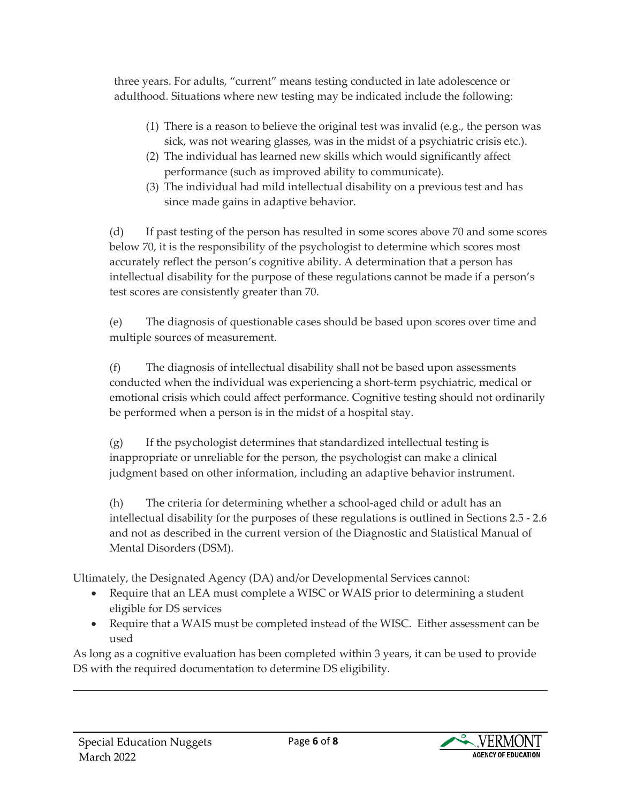three years. For adults, "current" means testing conducted in late adolescence or adulthood. Situations where new testing may be indicated include the following:

- (1) There is a reason to believe the original test was invalid (e.g., the person was sick, was not wearing glasses, was in the midst of a psychiatric crisis etc.).
- (2) The individual has learned new skills which would significantly affect performance (such as improved ability to communicate).
- (3) The individual had mild intellectual disability on a previous test and has since made gains in adaptive behavior.

(d) If past testing of the person has resulted in some scores above 70 and some scores below 70, it is the responsibility of the psychologist to determine which scores most accurately reflect the person's cognitive ability. A determination that a person has intellectual disability for the purpose of these regulations cannot be made if a person's test scores are consistently greater than 70.

(e) The diagnosis of questionable cases should be based upon scores over time and multiple sources of measurement.

(f) The diagnosis of intellectual disability shall not be based upon assessments conducted when the individual was experiencing a short-term psychiatric, medical or emotional crisis which could affect performance. Cognitive testing should not ordinarily be performed when a person is in the midst of a hospital stay.

(g) If the psychologist determines that standardized intellectual testing is inappropriate or unreliable for the person, the psychologist can make a clinical judgment based on other information, including an adaptive behavior instrument.

(h) The criteria for determining whether a school-aged child or adult has an intellectual disability for the purposes of these regulations is outlined in Sections 2.5 - 2.6 and not as described in the current version of the Diagnostic and Statistical Manual of Mental Disorders (DSM).

Ultimately, the Designated Agency (DA) and/or Developmental Services cannot:

- Require that an LEA must complete a WISC or WAIS prior to determining a student eligible for DS services
- Require that a WAIS must be completed instead of the WISC. Either assessment can be used

<span id="page-5-0"></span>As long as a cognitive evaluation has been completed within 3 years, it can be used to provide DS with the required documentation to determine DS eligibility.

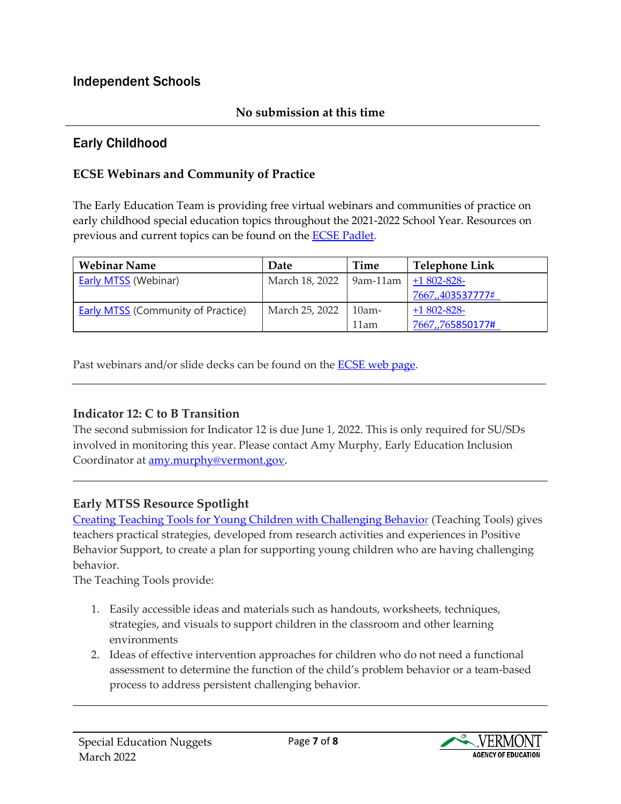### Independent Schools

### **No submission at this time**

### <span id="page-6-0"></span>Early Childhood

### **ECSE Webinars and Community of Practice**

The Early Education Team is providing free virtual webinars and communities of practice on early childhood special education topics throughout the 2021-2022 School Year. Resources on previous and current topics can be found on the [ECSE Padlet.](https://padlet.com/katie_mccarthy1/y9x7nnrh6ws09to5) 

| <b>Webinar Name</b>                       | Date           | Time     | Telephone Link   |
|-------------------------------------------|----------------|----------|------------------|
| <b>Early MTSS (Webinar)</b>               | March 18, 2022 | 9am-11am | $+1802 - 828$    |
|                                           |                |          | 7667,,403537777# |
| <b>Early MTSS (Community of Practice)</b> | March 25, 2022 | $10am-$  | $+1802 - 828$    |
|                                           |                | 11am     | 7667,,765850177# |

Past webinars and/or slide decks can be found on the **ECSE web page**.

### **Indicator 12: C to B Transition**

The second submission for Indicator 12 is due June 1, 2022. This is only required for SU/SDs involved in monitoring this year. Please contact Amy Murphy, Early Education Inclusion Coordinator at [amy.murphy@vermont.gov.](mailto:amy.murphy@vermont.gov)

### **Early MTSS Resource Spotlight**

[Creating Teaching Tools for Young Children with Challenging Behavior](https://challengingbehavior.cbcs.usf.edu/Pyramid/pbs/TTYC/index.html) (Teaching Tools) gives teachers practical strategies, developed from research activities and experiences in Positive Behavior Support, to create a plan for supporting young children who are having challenging behavior.

The Teaching Tools provide:

- 1. Easily accessible ideas and materials such as handouts, worksheets, techniques, strategies, and visuals to support children in the classroom and other learning environments
- 2. Ideas of effective intervention approaches for children who do not need a functional assessment to determine the function of the child's problem behavior or a team-based process to address persistent challenging behavior.